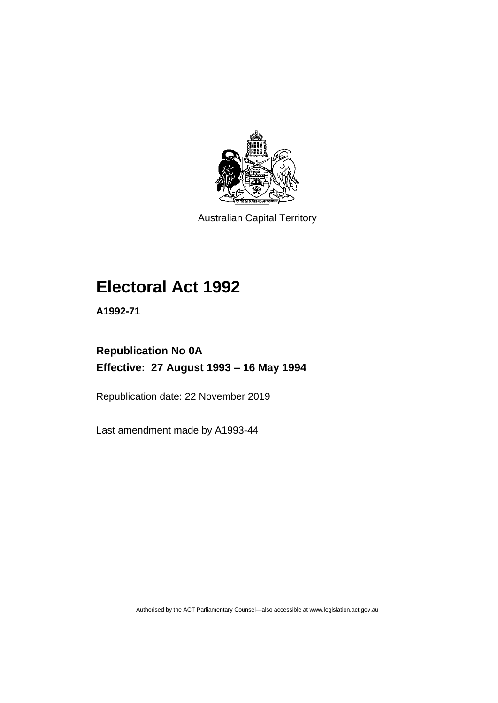

Australian Capital Territory

# **Electoral Act 1992**

**A1992-71**

## **Republication No 0A Effective: 27 August 1993 – 16 May 1994**

Republication date: 22 November 2019

Last amendment made by A1993-44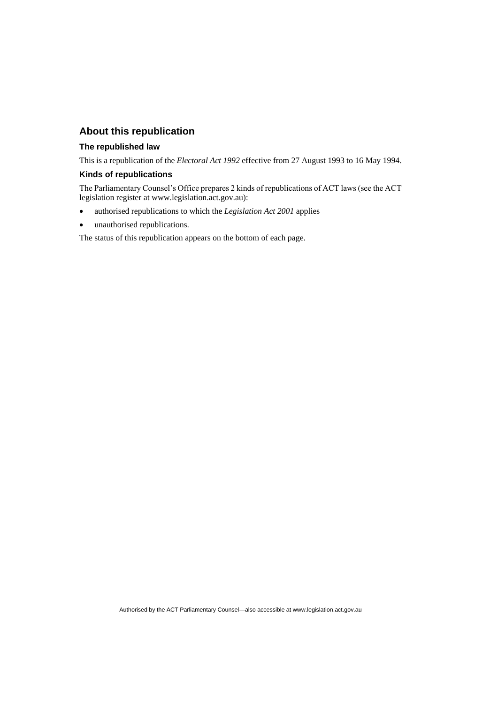## **About this republication**

## **The republished law**

This is a republication of the *Electoral Act 1992* effective from 27 August 1993 to 16 May 1994.

#### **Kinds of republications**

The Parliamentary Counsel's Office prepares 2 kinds of republications of ACT laws (see the ACT legislation register at www.legislation.act.gov.au):

- authorised republications to which the *Legislation Act 2001* applies
- unauthorised republications.

The status of this republication appears on the bottom of each page.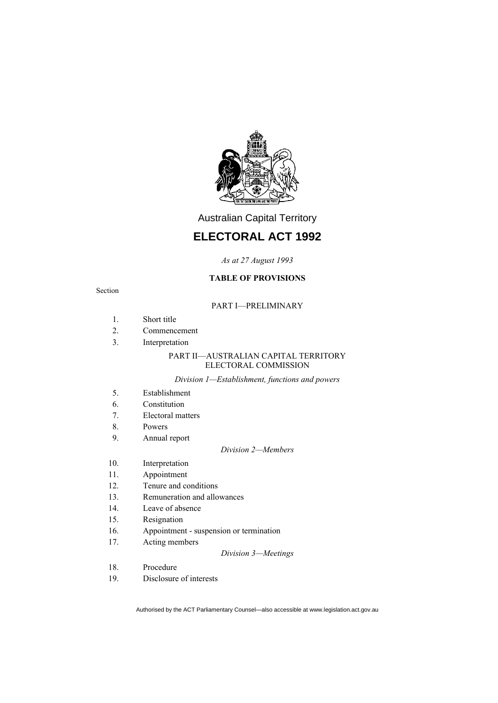

Australian Capital Territory

## **ELECTORAL ACT 1992**

*As at 27 August 1993*

## **TABLE OF PROVISIONS**

#### Section

### PART I—PRELIMINARY

- 1. Short title
- 2. Commencement
- 3. Interpretation

#### PART II—AUSTRALIAN CAPITAL TERRITORY ELECTORAL COMMISSION

#### *Division 1—Establishment, functions and powers*

- 5. Establishment
- 6. Constitution
- 7. Electoral matters
- 8. Powers
- 9. Annual report

#### *Division 2—Members*

- 10. Interpretation
- 11. Appointment
- 12. Tenure and conditions
- 13. Remuneration and allowances
- 14. Leave of absence
- 15. Resignation
- 16. Appointment suspension or termination
- 17. Acting members

#### *Division 3—Meetings*

- 18. Procedure
- 19. Disclosure of interests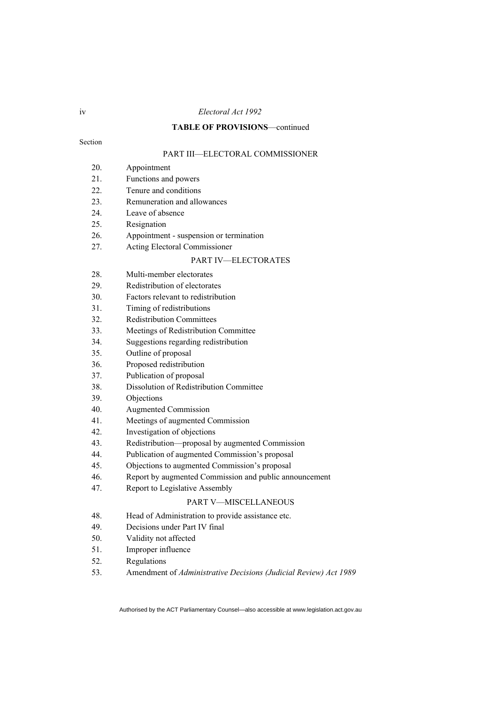#### iv *Electoral Act 1992*

## **TABLE OF PROVISIONS**—continued

Section

## PART III—ELECTORAL COMMISSIONER

- 20. Appointment
- 21. Functions and powers
- 22. Tenure and conditions
- 23. Remuneration and allowances
- 24. Leave of absence
- 25. Resignation
- 26. Appointment suspension or termination
- 27. Acting Electoral Commissioner

#### PART IV—ELECTORATES

- 28. Multi-member electorates
- 29. Redistribution of electorates
- 30. Factors relevant to redistribution
- 31. Timing of redistributions
- 32. Redistribution Committees
- 33. Meetings of Redistribution Committee
- 34. Suggestions regarding redistribution
- 35. Outline of proposal
- 36. Proposed redistribution
- 37. Publication of proposal
- 38. Dissolution of Redistribution Committee
- 39. Objections
- 40. Augmented Commission
- 41. Meetings of augmented Commission
- 42. Investigation of objections
- 43. Redistribution—proposal by augmented Commission
- 44. Publication of augmented Commission's proposal
- 45. Objections to augmented Commission's proposal
- 46. Report by augmented Commission and public announcement
- 47. Report to Legislative Assembly

#### PART V—MISCELLANEOUS

- 48. Head of Administration to provide assistance etc.
- 49. Decisions under Part IV final
- 50. Validity not affected
- 51. Improper influence
- 52. Regulations
- 53. Amendment of *Administrative Decisions (Judicial Review) Act 1989*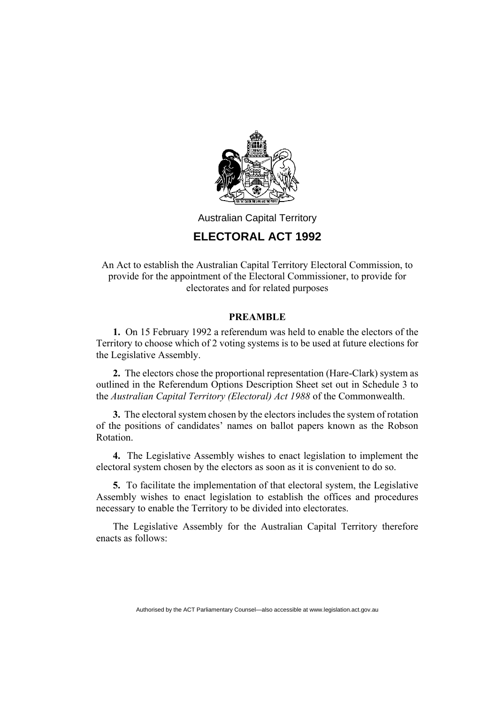

## Australian Capital Territory

## **ELECTORAL ACT 1992**

An Act to establish the Australian Capital Territory Electoral Commission, to provide for the appointment of the Electoral Commissioner, to provide for electorates and for related purposes

## **PREAMBLE**

**1.** On 15 February 1992 a referendum was held to enable the electors of the Territory to choose which of 2 voting systems is to be used at future elections for the Legislative Assembly.

**2.** The electors chose the proportional representation (Hare-Clark) system as outlined in the Referendum Options Description Sheet set out in Schedule 3 to the *Australian Capital Territory (Electoral) Act 1988* of the Commonwealth.

**3.** The electoral system chosen by the electors includes the system of rotation of the positions of candidates' names on ballot papers known as the Robson Rotation.

**4.** The Legislative Assembly wishes to enact legislation to implement the electoral system chosen by the electors as soon as it is convenient to do so.

**5.** To facilitate the implementation of that electoral system, the Legislative Assembly wishes to enact legislation to establish the offices and procedures necessary to enable the Territory to be divided into electorates.

The Legislative Assembly for the Australian Capital Territory therefore enacts as follows: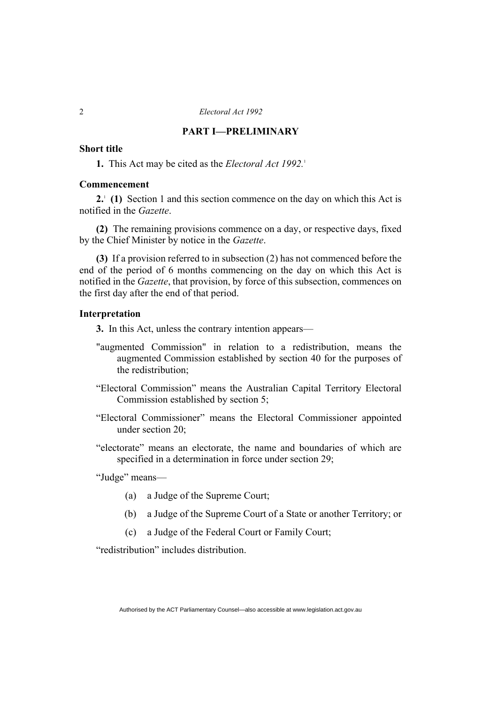## **PART I—PRELIMINARY**

## **Short title**

**1.** This Act may be cited as the *Electoral Act 1992*.<sup>1</sup>

#### **Commencement**

2.<sup>1</sup> (1) Section 1 and this section commence on the day on which this Act is notified in the *Gazette*.

**(2)** The remaining provisions commence on a day, or respective days, fixed by the Chief Minister by notice in the *Gazette*.

**(3)** If a provision referred to in subsection (2) has not commenced before the end of the period of 6 months commencing on the day on which this Act is notified in the *Gazette*, that provision, by force of this subsection, commences on the first day after the end of that period.

## **Interpretation**

- **3.** In this Act, unless the contrary intention appears—
- "augmented Commission" in relation to a redistribution, means the augmented Commission established by section 40 for the purposes of the redistribution;
- "Electoral Commission" means the Australian Capital Territory Electoral Commission established by section 5;
- "Electoral Commissioner" means the Electoral Commissioner appointed under section 20;
- "electorate" means an electorate, the name and boundaries of which are specified in a determination in force under section 29;

"Judge" means—

- (a) a Judge of the Supreme Court;
- (b) a Judge of the Supreme Court of a State or another Territory; or
- (c) a Judge of the Federal Court or Family Court;

"redistribution" includes distribution.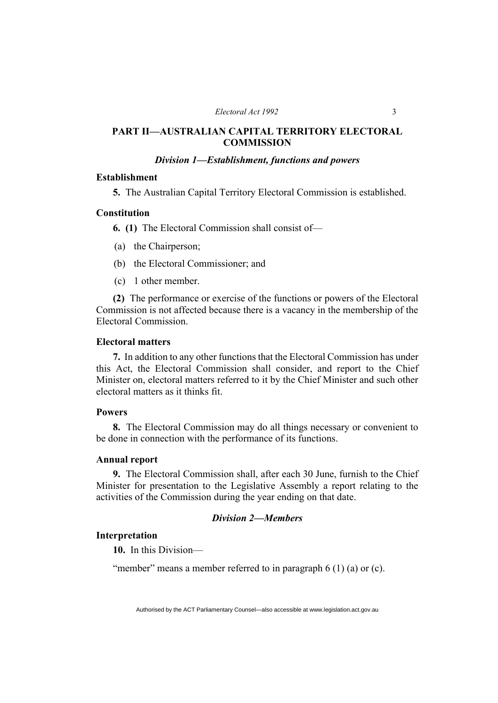## **PART II—AUSTRALIAN CAPITAL TERRITORY ELECTORAL COMMISSION**

## *Division 1—Establishment, functions and powers*

## **Establishment**

**5.** The Australian Capital Territory Electoral Commission is established.

## **Constitution**

**6. (1)** The Electoral Commission shall consist of—

- (a) the Chairperson;
- (b) the Electoral Commissioner; and
- (c) 1 other member.

**(2)** The performance or exercise of the functions or powers of the Electoral Commission is not affected because there is a vacancy in the membership of the Electoral Commission.

## **Electoral matters**

**7.** In addition to any other functions that the Electoral Commission has under this Act, the Electoral Commission shall consider, and report to the Chief Minister on, electoral matters referred to it by the Chief Minister and such other electoral matters as it thinks fit.

## **Powers**

**8.** The Electoral Commission may do all things necessary or convenient to be done in connection with the performance of its functions.

#### **Annual report**

**9.** The Electoral Commission shall, after each 30 June, furnish to the Chief Minister for presentation to the Legislative Assembly a report relating to the activities of the Commission during the year ending on that date.

## *Division 2—Members*

## **Interpretation**

**10.** In this Division—

"member" means a member referred to in paragraph 6 (1) (a) or (c).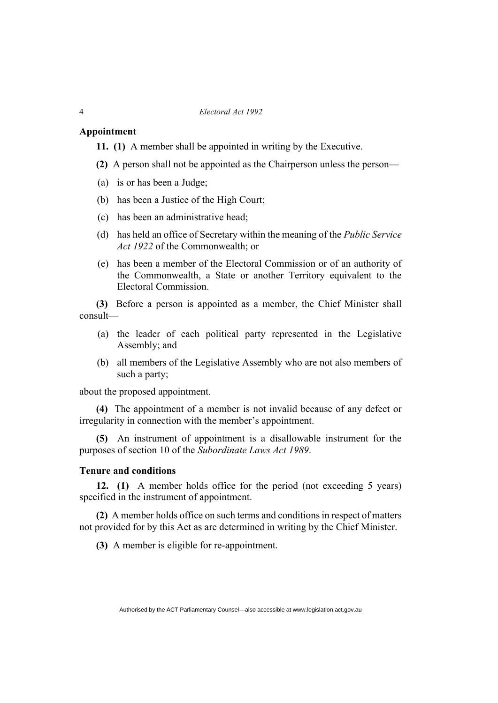#### **Appointment**

**11. (1)** A member shall be appointed in writing by the Executive.

- **(2)** A person shall not be appointed as the Chairperson unless the person—
- (a) is or has been a Judge;
- (b) has been a Justice of the High Court;
- (c) has been an administrative head;
- (d) has held an office of Secretary within the meaning of the *Public Service Act 1922* of the Commonwealth; or
- (e) has been a member of the Electoral Commission or of an authority of the Commonwealth, a State or another Territory equivalent to the Electoral Commission.

**(3)** Before a person is appointed as a member, the Chief Minister shall consult—

- (a) the leader of each political party represented in the Legislative Assembly; and
- (b) all members of the Legislative Assembly who are not also members of such a party;

about the proposed appointment.

**(4)** The appointment of a member is not invalid because of any defect or irregularity in connection with the member's appointment.

**(5)** An instrument of appointment is a disallowable instrument for the purposes of section 10 of the *Subordinate Laws Act 1989*.

## **Tenure and conditions**

**12. (1)** A member holds office for the period (not exceeding 5 years) specified in the instrument of appointment.

**(2)** A member holds office on such terms and conditions in respect of matters not provided for by this Act as are determined in writing by the Chief Minister.

**(3)** A member is eligible for re-appointment.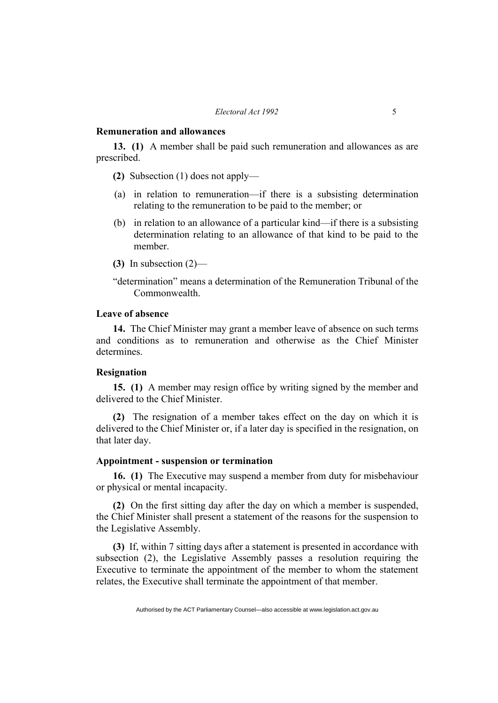#### **Remuneration and allowances**

**13. (1)** A member shall be paid such remuneration and allowances as are prescribed.

**(2)** Subsection (1) does not apply—

- (a) in relation to remuneration—if there is a subsisting determination relating to the remuneration to be paid to the member; or
- (b) in relation to an allowance of a particular kind—if there is a subsisting determination relating to an allowance of that kind to be paid to the member.
- **(3)** In subsection (2)—
- "determination" means a determination of the Remuneration Tribunal of the Commonwealth.

## **Leave of absence**

**14.** The Chief Minister may grant a member leave of absence on such terms and conditions as to remuneration and otherwise as the Chief Minister determines.

#### **Resignation**

**15. (1)** A member may resign office by writing signed by the member and delivered to the Chief Minister.

**(2)** The resignation of a member takes effect on the day on which it is delivered to the Chief Minister or, if a later day is specified in the resignation, on that later day.

## **Appointment - suspension or termination**

**16. (1)** The Executive may suspend a member from duty for misbehaviour or physical or mental incapacity.

**(2)** On the first sitting day after the day on which a member is suspended, the Chief Minister shall present a statement of the reasons for the suspension to the Legislative Assembly.

**(3)** If, within 7 sitting days after a statement is presented in accordance with subsection (2), the Legislative Assembly passes a resolution requiring the Executive to terminate the appointment of the member to whom the statement relates, the Executive shall terminate the appointment of that member.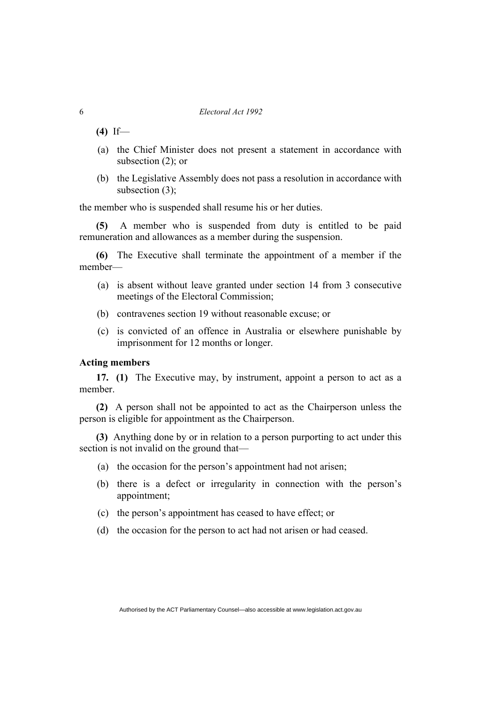**(4)** If—

- (a) the Chief Minister does not present a statement in accordance with subsection (2); or
- (b) the Legislative Assembly does not pass a resolution in accordance with subsection (3);

the member who is suspended shall resume his or her duties.

**(5)** A member who is suspended from duty is entitled to be paid remuneration and allowances as a member during the suspension.

**(6)** The Executive shall terminate the appointment of a member if the member—

- (a) is absent without leave granted under section 14 from 3 consecutive meetings of the Electoral Commission;
- (b) contravenes section 19 without reasonable excuse; or
- (c) is convicted of an offence in Australia or elsewhere punishable by imprisonment for 12 months or longer.

## **Acting members**

**17. (1)** The Executive may, by instrument, appoint a person to act as a member.

**(2)** A person shall not be appointed to act as the Chairperson unless the person is eligible for appointment as the Chairperson.

**(3)** Anything done by or in relation to a person purporting to act under this section is not invalid on the ground that—

- (a) the occasion for the person's appointment had not arisen;
- (b) there is a defect or irregularity in connection with the person's appointment;
- (c) the person's appointment has ceased to have effect; or
- (d) the occasion for the person to act had not arisen or had ceased.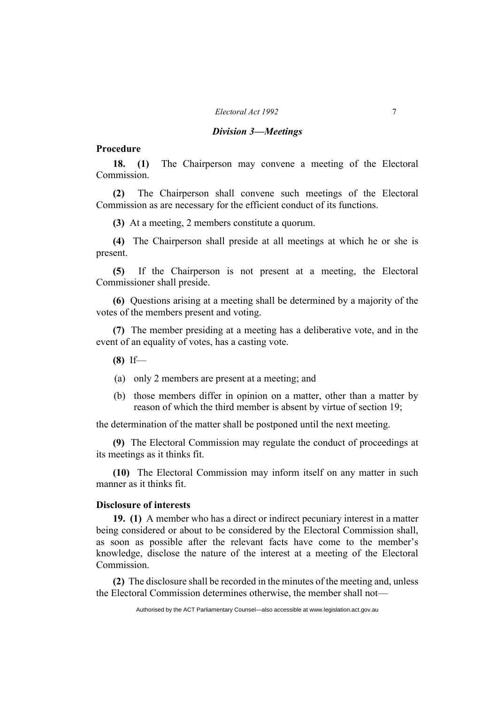#### *Electoral Act 1992* 7

#### *Division 3—Meetings*

## **Procedure**

**18. (1)** The Chairperson may convene a meeting of the Electoral Commission.

**(2)** The Chairperson shall convene such meetings of the Electoral Commission as are necessary for the efficient conduct of its functions.

**(3)** At a meeting, 2 members constitute a quorum.

**(4)** The Chairperson shall preside at all meetings at which he or she is present.

**(5)** If the Chairperson is not present at a meeting, the Electoral Commissioner shall preside.

**(6)** Questions arising at a meeting shall be determined by a majority of the votes of the members present and voting.

**(7)** The member presiding at a meeting has a deliberative vote, and in the event of an equality of votes, has a casting vote.

- **(8)** If—
- (a) only 2 members are present at a meeting; and
- (b) those members differ in opinion on a matter, other than a matter by reason of which the third member is absent by virtue of section 19;

the determination of the matter shall be postponed until the next meeting.

**(9)** The Electoral Commission may regulate the conduct of proceedings at its meetings as it thinks fit.

**(10)** The Electoral Commission may inform itself on any matter in such manner as it thinks fit.

#### **Disclosure of interests**

**19. (1)** A member who has a direct or indirect pecuniary interest in a matter being considered or about to be considered by the Electoral Commission shall, as soon as possible after the relevant facts have come to the member's knowledge, disclose the nature of the interest at a meeting of the Electoral Commission.

**(2)** The disclosure shall be recorded in the minutes of the meeting and, unless the Electoral Commission determines otherwise, the member shall not—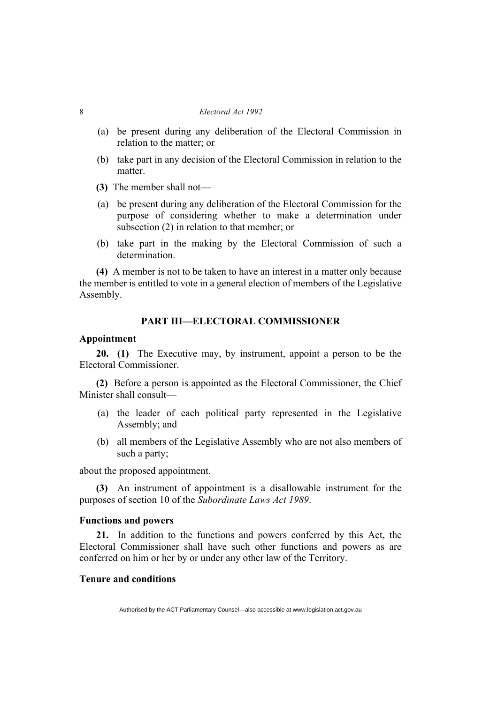- (a) be present during any deliberation of the Electoral Commission in relation to the matter; or
- (b) take part in any decision of the Electoral Commission in relation to the matter.
- **(3)** The member shall not—
- (a) be present during any deliberation of the Electoral Commission for the purpose of considering whether to make a determination under subsection (2) in relation to that member; or
- (b) take part in the making by the Electoral Commission of such a determination.

**(4)** A member is not to be taken to have an interest in a matter only because the member is entitled to vote in a general election of members of the Legislative Assembly.

#### **PART III—ELECTORAL COMMISSIONER**

### **Appointment**

**20. (1)** The Executive may, by instrument, appoint a person to be the Electoral Commissioner.

**(2)** Before a person is appointed as the Electoral Commissioner, the Chief Minister shall consult—

- (a) the leader of each political party represented in the Legislative Assembly; and
- (b) all members of the Legislative Assembly who are not also members of such a party;

about the proposed appointment.

**(3)** An instrument of appointment is a disallowable instrument for the purposes of section 10 of the *Subordinate Laws Act 1989*.

#### **Functions and powers**

**21.** In addition to the functions and powers conferred by this Act, the Electoral Commissioner shall have such other functions and powers as are conferred on him or her by or under any other law of the Territory.

#### **Tenure and conditions**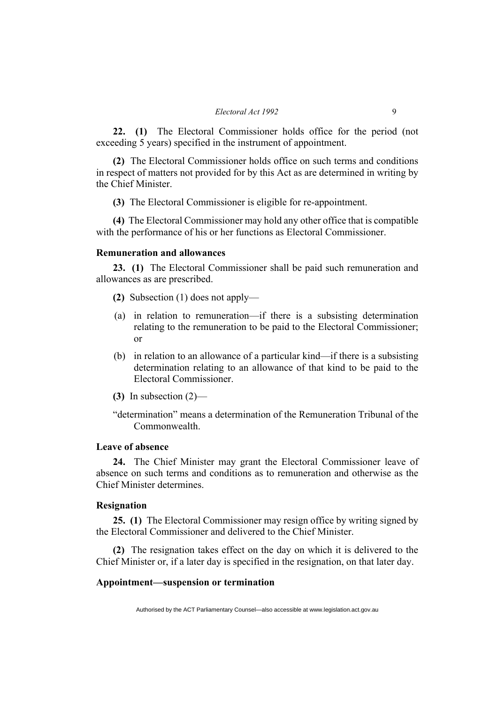**22. (1)** The Electoral Commissioner holds office for the period (not exceeding 5 years) specified in the instrument of appointment.

**(2)** The Electoral Commissioner holds office on such terms and conditions in respect of matters not provided for by this Act as are determined in writing by the Chief Minister.

**(3)** The Electoral Commissioner is eligible for re-appointment.

**(4)** The Electoral Commissioner may hold any other office that is compatible with the performance of his or her functions as Electoral Commissioner.

#### **Remuneration and allowances**

**23. (1)** The Electoral Commissioner shall be paid such remuneration and allowances as are prescribed.

- **(2)** Subsection (1) does not apply—
- (a) in relation to remuneration—if there is a subsisting determination relating to the remuneration to be paid to the Electoral Commissioner; or
- (b) in relation to an allowance of a particular kind—if there is a subsisting determination relating to an allowance of that kind to be paid to the Electoral Commissioner.
- **(3)** In subsection (2)—

"determination" means a determination of the Remuneration Tribunal of the Commonwealth.

## **Leave of absence**

**24.** The Chief Minister may grant the Electoral Commissioner leave of absence on such terms and conditions as to remuneration and otherwise as the Chief Minister determines.

## **Resignation**

**25. (1)** The Electoral Commissioner may resign office by writing signed by the Electoral Commissioner and delivered to the Chief Minister.

**(2)** The resignation takes effect on the day on which it is delivered to the Chief Minister or, if a later day is specified in the resignation, on that later day.

#### **Appointment—suspension or termination**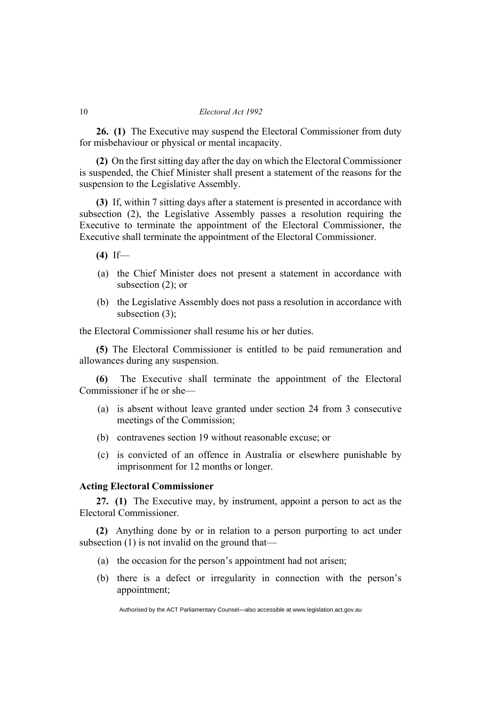**26. (1)** The Executive may suspend the Electoral Commissioner from duty for misbehaviour or physical or mental incapacity.

**(2)** On the first sitting day after the day on which the Electoral Commissioner is suspended, the Chief Minister shall present a statement of the reasons for the suspension to the Legislative Assembly.

**(3)** If, within 7 sitting days after a statement is presented in accordance with subsection (2), the Legislative Assembly passes a resolution requiring the Executive to terminate the appointment of the Electoral Commissioner, the Executive shall terminate the appointment of the Electoral Commissioner.

- **(4)** If—
- (a) the Chief Minister does not present a statement in accordance with subsection (2); or
- (b) the Legislative Assembly does not pass a resolution in accordance with subsection (3);

the Electoral Commissioner shall resume his or her duties.

**(5)** The Electoral Commissioner is entitled to be paid remuneration and allowances during any suspension.

**(6)** The Executive shall terminate the appointment of the Electoral Commissioner if he or she—

- (a) is absent without leave granted under section 24 from 3 consecutive meetings of the Commission;
- (b) contravenes section 19 without reasonable excuse; or
- (c) is convicted of an offence in Australia or elsewhere punishable by imprisonment for 12 months or longer.

## **Acting Electoral Commissioner**

**27. (1)** The Executive may, by instrument, appoint a person to act as the Electoral Commissioner.

**(2)** Anything done by or in relation to a person purporting to act under subsection (1) is not invalid on the ground that—

- (a) the occasion for the person's appointment had not arisen;
- (b) there is a defect or irregularity in connection with the person's appointment;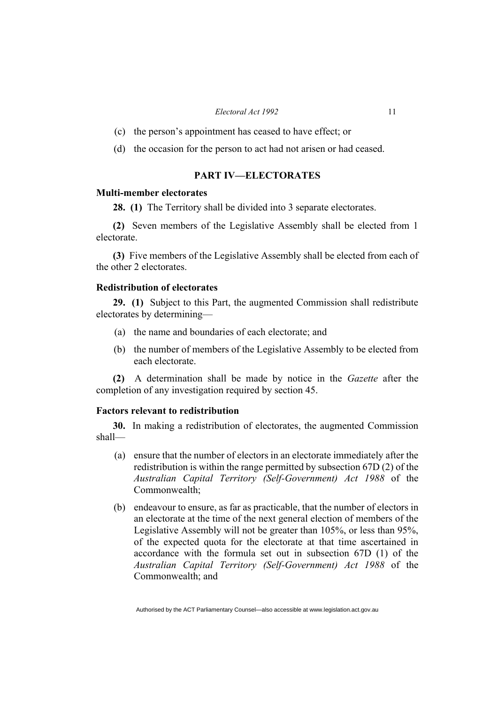#### *Electoral Act 1992* 11

- (c) the person's appointment has ceased to have effect; or
- (d) the occasion for the person to act had not arisen or had ceased.

## **PART IV—ELECTORATES**

#### **Multi-member electorates**

**28. (1)** The Territory shall be divided into 3 separate electorates.

**(2)** Seven members of the Legislative Assembly shall be elected from 1 electorate.

**(3)** Five members of the Legislative Assembly shall be elected from each of the other 2 electorates.

## **Redistribution of electorates**

**29. (1)** Subject to this Part, the augmented Commission shall redistribute electorates by determining—

- (a) the name and boundaries of each electorate; and
- (b) the number of members of the Legislative Assembly to be elected from each electorate.

**(2)** A determination shall be made by notice in the *Gazette* after the completion of any investigation required by section 45.

## **Factors relevant to redistribution**

**30.** In making a redistribution of electorates, the augmented Commission shall—

- (a) ensure that the number of electors in an electorate immediately after the redistribution is within the range permitted by subsection 67D (2) of the *Australian Capital Territory (Self-Government) Act 1988* of the Commonwealth;
- (b) endeavour to ensure, as far as practicable, that the number of electors in an electorate at the time of the next general election of members of the Legislative Assembly will not be greater than 105%, or less than 95%, of the expected quota for the electorate at that time ascertained in accordance with the formula set out in subsection 67D (1) of the *Australian Capital Territory (Self-Government) Act 1988* of the Commonwealth; and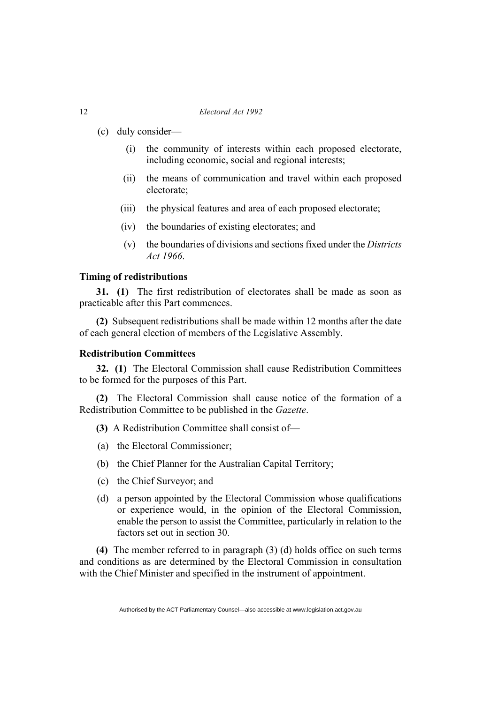- (c) duly consider—
	- (i) the community of interests within each proposed electorate, including economic, social and regional interests;
	- (ii) the means of communication and travel within each proposed electorate;
	- (iii) the physical features and area of each proposed electorate;
	- (iv) the boundaries of existing electorates; and
	- (v) the boundaries of divisions and sections fixed under the *Districts Act 1966*.

## **Timing of redistributions**

**31. (1)** The first redistribution of electorates shall be made as soon as practicable after this Part commences.

**(2)** Subsequent redistributions shall be made within 12 months after the date of each general election of members of the Legislative Assembly.

## **Redistribution Committees**

**32. (1)** The Electoral Commission shall cause Redistribution Committees to be formed for the purposes of this Part.

**(2)** The Electoral Commission shall cause notice of the formation of a Redistribution Committee to be published in the *Gazette*.

- **(3)** A Redistribution Committee shall consist of—
- (a) the Electoral Commissioner;
- (b) the Chief Planner for the Australian Capital Territory;
- (c) the Chief Surveyor; and
- (d) a person appointed by the Electoral Commission whose qualifications or experience would, in the opinion of the Electoral Commission, enable the person to assist the Committee, particularly in relation to the factors set out in section 30.

**(4)** The member referred to in paragraph (3) (d) holds office on such terms and conditions as are determined by the Electoral Commission in consultation with the Chief Minister and specified in the instrument of appointment.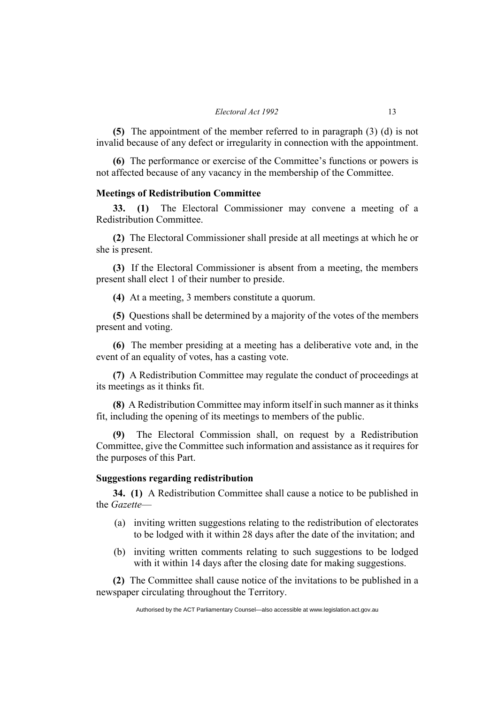**(5)** The appointment of the member referred to in paragraph (3) (d) is not invalid because of any defect or irregularity in connection with the appointment.

**(6)** The performance or exercise of the Committee's functions or powers is not affected because of any vacancy in the membership of the Committee.

#### **Meetings of Redistribution Committee**

**33. (1)** The Electoral Commissioner may convene a meeting of a Redistribution Committee.

**(2)** The Electoral Commissioner shall preside at all meetings at which he or she is present.

**(3)** If the Electoral Commissioner is absent from a meeting, the members present shall elect 1 of their number to preside.

**(4)** At a meeting, 3 members constitute a quorum.

**(5)** Questions shall be determined by a majority of the votes of the members present and voting.

**(6)** The member presiding at a meeting has a deliberative vote and, in the event of an equality of votes, has a casting vote.

**(7)** A Redistribution Committee may regulate the conduct of proceedings at its meetings as it thinks fit.

**(8)** A Redistribution Committee may inform itself in such manner as it thinks fit, including the opening of its meetings to members of the public.

**(9)** The Electoral Commission shall, on request by a Redistribution Committee, give the Committee such information and assistance as it requires for the purposes of this Part.

#### **Suggestions regarding redistribution**

**34. (1)** A Redistribution Committee shall cause a notice to be published in the *Gazette*—

- (a) inviting written suggestions relating to the redistribution of electorates to be lodged with it within 28 days after the date of the invitation; and
- (b) inviting written comments relating to such suggestions to be lodged with it within 14 days after the closing date for making suggestions.

**(2)** The Committee shall cause notice of the invitations to be published in a newspaper circulating throughout the Territory.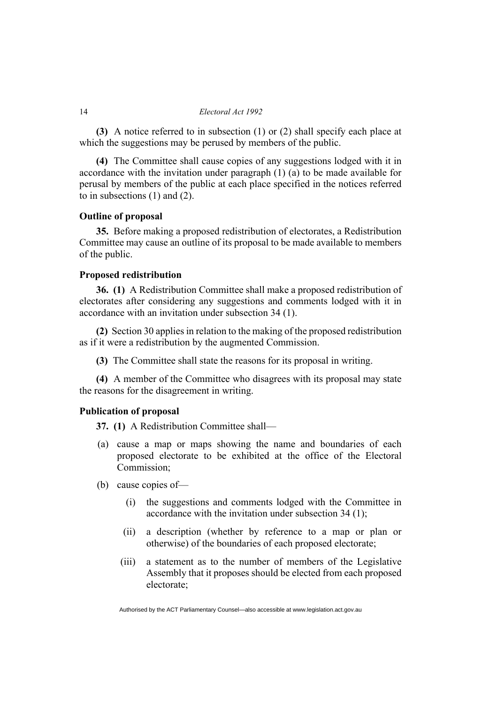**(3)** A notice referred to in subsection (1) or (2) shall specify each place at which the suggestions may be perused by members of the public.

**(4)** The Committee shall cause copies of any suggestions lodged with it in accordance with the invitation under paragraph (1) (a) to be made available for perusal by members of the public at each place specified in the notices referred to in subsections (1) and (2).

## **Outline of proposal**

**35.** Before making a proposed redistribution of electorates, a Redistribution Committee may cause an outline of its proposal to be made available to members of the public.

## **Proposed redistribution**

**36. (1)** A Redistribution Committee shall make a proposed redistribution of electorates after considering any suggestions and comments lodged with it in accordance with an invitation under subsection 34 (1).

**(2)** Section 30 applies in relation to the making of the proposed redistribution as if it were a redistribution by the augmented Commission.

**(3)** The Committee shall state the reasons for its proposal in writing.

**(4)** A member of the Committee who disagrees with its proposal may state the reasons for the disagreement in writing.

## **Publication of proposal**

**37. (1)** A Redistribution Committee shall—

- (a) cause a map or maps showing the name and boundaries of each proposed electorate to be exhibited at the office of the Electoral Commission;
- (b) cause copies of—
	- (i) the suggestions and comments lodged with the Committee in accordance with the invitation under subsection 34 (1);
	- (ii) a description (whether by reference to a map or plan or otherwise) of the boundaries of each proposed electorate;
	- (iii) a statement as to the number of members of the Legislative Assembly that it proposes should be elected from each proposed electorate;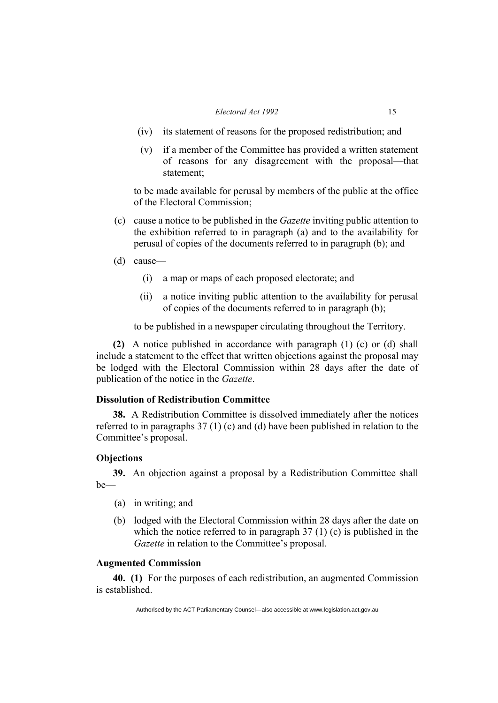#### *Electoral Act 1992* 15

- (iv) its statement of reasons for the proposed redistribution; and
- (v) if a member of the Committee has provided a written statement of reasons for any disagreement with the proposal—that statement;

to be made available for perusal by members of the public at the office of the Electoral Commission;

- (c) cause a notice to be published in the *Gazette* inviting public attention to the exhibition referred to in paragraph (a) and to the availability for perusal of copies of the documents referred to in paragraph (b); and
- (d) cause—
	- (i) a map or maps of each proposed electorate; and
	- (ii) a notice inviting public attention to the availability for perusal of copies of the documents referred to in paragraph (b);

to be published in a newspaper circulating throughout the Territory.

**(2)** A notice published in accordance with paragraph (1) (c) or (d) shall include a statement to the effect that written objections against the proposal may be lodged with the Electoral Commission within 28 days after the date of publication of the notice in the *Gazette*.

## **Dissolution of Redistribution Committee**

**38.** A Redistribution Committee is dissolved immediately after the notices referred to in paragraphs 37 (1) (c) and (d) have been published in relation to the Committee's proposal.

## **Objections**

**39.** An objection against a proposal by a Redistribution Committee shall be—

- (a) in writing; and
- (b) lodged with the Electoral Commission within 28 days after the date on which the notice referred to in paragraph 37 (1) (c) is published in the *Gazette* in relation to the Committee's proposal.

## **Augmented Commission**

**40. (1)** For the purposes of each redistribution, an augmented Commission is established.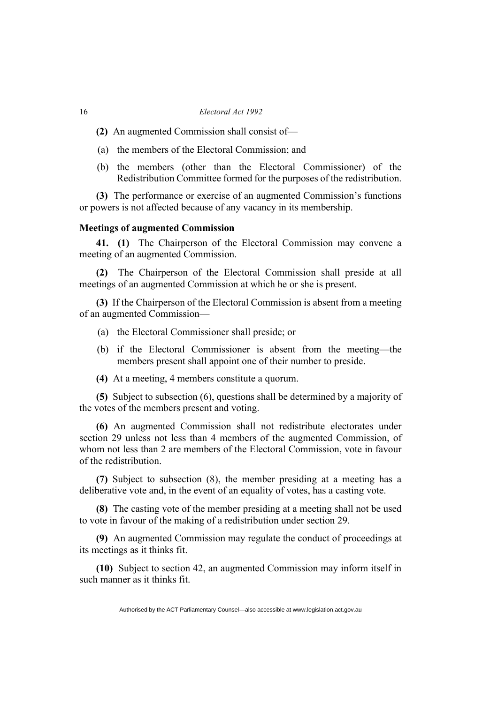- **(2)** An augmented Commission shall consist of—
- (a) the members of the Electoral Commission; and
- (b) the members (other than the Electoral Commissioner) of the Redistribution Committee formed for the purposes of the redistribution.

**(3)** The performance or exercise of an augmented Commission's functions or powers is not affected because of any vacancy in its membership.

#### **Meetings of augmented Commission**

**41. (1)** The Chairperson of the Electoral Commission may convene a meeting of an augmented Commission.

**(2)** The Chairperson of the Electoral Commission shall preside at all meetings of an augmented Commission at which he or she is present.

**(3)** If the Chairperson of the Electoral Commission is absent from a meeting of an augmented Commission—

- (a) the Electoral Commissioner shall preside; or
- (b) if the Electoral Commissioner is absent from the meeting—the members present shall appoint one of their number to preside.
- **(4)** At a meeting, 4 members constitute a quorum.

**(5)** Subject to subsection (6), questions shall be determined by a majority of the votes of the members present and voting.

**(6)** An augmented Commission shall not redistribute electorates under section 29 unless not less than 4 members of the augmented Commission, of whom not less than 2 are members of the Electoral Commission, vote in favour of the redistribution.

**(7)** Subject to subsection (8), the member presiding at a meeting has a deliberative vote and, in the event of an equality of votes, has a casting vote.

**(8)** The casting vote of the member presiding at a meeting shall not be used to vote in favour of the making of a redistribution under section 29.

**(9)** An augmented Commission may regulate the conduct of proceedings at its meetings as it thinks fit.

**(10)** Subject to section 42, an augmented Commission may inform itself in such manner as it thinks fit.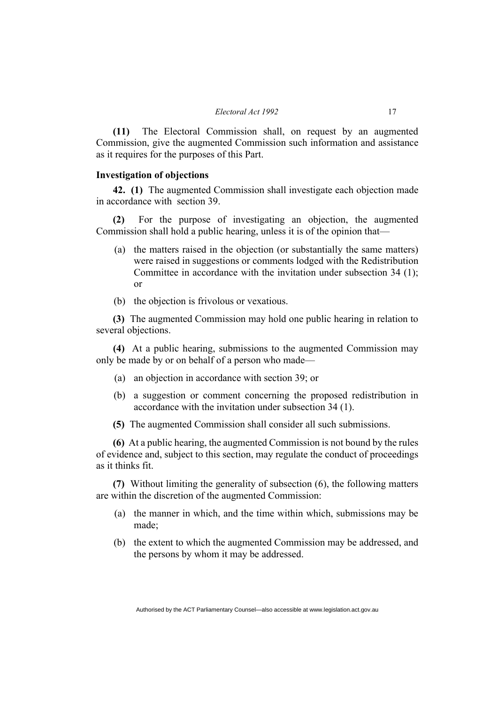**(11)** The Electoral Commission shall, on request by an augmented Commission, give the augmented Commission such information and assistance as it requires for the purposes of this Part.

#### **Investigation of objections**

**42. (1)** The augmented Commission shall investigate each objection made in accordance with section 39.

**(2)** For the purpose of investigating an objection, the augmented Commission shall hold a public hearing, unless it is of the opinion that—

- (a) the matters raised in the objection (or substantially the same matters) were raised in suggestions or comments lodged with the Redistribution Committee in accordance with the invitation under subsection 34 (1); or
- (b) the objection is frivolous or vexatious.

**(3)** The augmented Commission may hold one public hearing in relation to several objections.

**(4)** At a public hearing, submissions to the augmented Commission may only be made by or on behalf of a person who made—

- (a) an objection in accordance with section 39; or
- (b) a suggestion or comment concerning the proposed redistribution in accordance with the invitation under subsection 34 (1).
- **(5)** The augmented Commission shall consider all such submissions.

**(6)** At a public hearing, the augmented Commission is not bound by the rules of evidence and, subject to this section, may regulate the conduct of proceedings as it thinks fit.

**(7)** Without limiting the generality of subsection (6), the following matters are within the discretion of the augmented Commission:

- (a) the manner in which, and the time within which, submissions may be made;
- (b) the extent to which the augmented Commission may be addressed, and the persons by whom it may be addressed.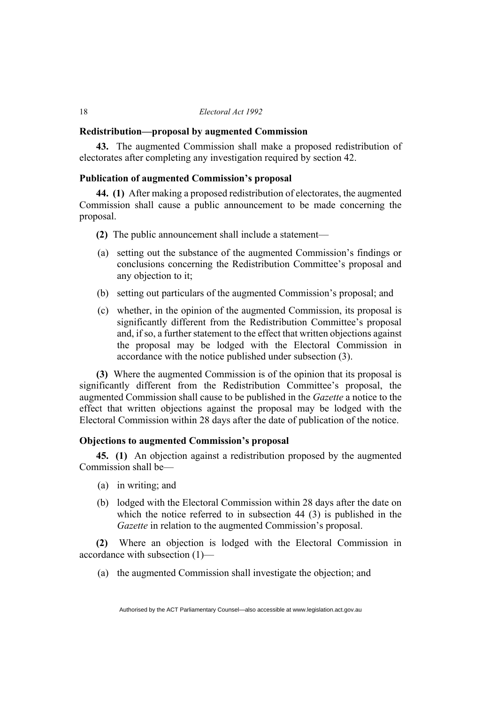#### **Redistribution—proposal by augmented Commission**

**43.** The augmented Commission shall make a proposed redistribution of electorates after completing any investigation required by section 42.

## **Publication of augmented Commission's proposal**

**44. (1)** After making a proposed redistribution of electorates, the augmented Commission shall cause a public announcement to be made concerning the proposal.

- **(2)** The public announcement shall include a statement—
- (a) setting out the substance of the augmented Commission's findings or conclusions concerning the Redistribution Committee's proposal and any objection to it;
- (b) setting out particulars of the augmented Commission's proposal; and
- (c) whether, in the opinion of the augmented Commission, its proposal is significantly different from the Redistribution Committee's proposal and, if so, a further statement to the effect that written objections against the proposal may be lodged with the Electoral Commission in accordance with the notice published under subsection (3).

**(3)** Where the augmented Commission is of the opinion that its proposal is significantly different from the Redistribution Committee's proposal, the augmented Commission shall cause to be published in the *Gazette* a notice to the effect that written objections against the proposal may be lodged with the Electoral Commission within 28 days after the date of publication of the notice.

#### **Objections to augmented Commission's proposal**

**45. (1)** An objection against a redistribution proposed by the augmented Commission shall be—

- (a) in writing; and
- (b) lodged with the Electoral Commission within 28 days after the date on which the notice referred to in subsection 44 (3) is published in the *Gazette* in relation to the augmented Commission's proposal.

**(2)** Where an objection is lodged with the Electoral Commission in accordance with subsection (1)—

(a) the augmented Commission shall investigate the objection; and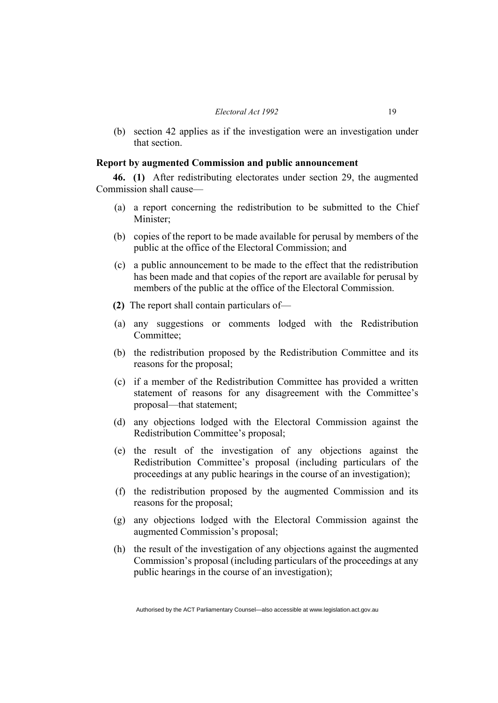(b) section 42 applies as if the investigation were an investigation under that section.

## **Report by augmented Commission and public announcement**

**46. (1)** After redistributing electorates under section 29, the augmented Commission shall cause—

- (a) a report concerning the redistribution to be submitted to the Chief Minister;
- (b) copies of the report to be made available for perusal by members of the public at the office of the Electoral Commission; and
- (c) a public announcement to be made to the effect that the redistribution has been made and that copies of the report are available for perusal by members of the public at the office of the Electoral Commission.
- **(2)** The report shall contain particulars of—
- (a) any suggestions or comments lodged with the Redistribution Committee;
- (b) the redistribution proposed by the Redistribution Committee and its reasons for the proposal;
- (c) if a member of the Redistribution Committee has provided a written statement of reasons for any disagreement with the Committee's proposal—that statement;
- (d) any objections lodged with the Electoral Commission against the Redistribution Committee's proposal;
- (e) the result of the investigation of any objections against the Redistribution Committee's proposal (including particulars of the proceedings at any public hearings in the course of an investigation);
- (f) the redistribution proposed by the augmented Commission and its reasons for the proposal;
- (g) any objections lodged with the Electoral Commission against the augmented Commission's proposal;
- (h) the result of the investigation of any objections against the augmented Commission's proposal (including particulars of the proceedings at any public hearings in the course of an investigation);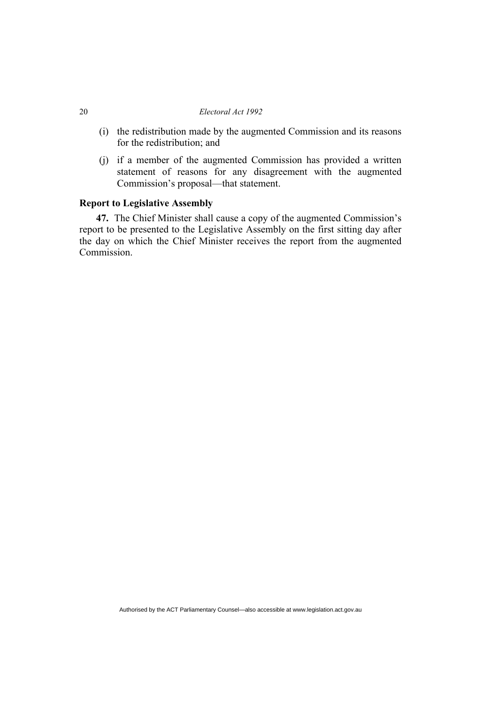- (i) the redistribution made by the augmented Commission and its reasons for the redistribution; and
- (j) if a member of the augmented Commission has provided a written statement of reasons for any disagreement with the augmented Commission's proposal—that statement.

## **Report to Legislative Assembly**

**47.** The Chief Minister shall cause a copy of the augmented Commission's report to be presented to the Legislative Assembly on the first sitting day after the day on which the Chief Minister receives the report from the augmented Commission.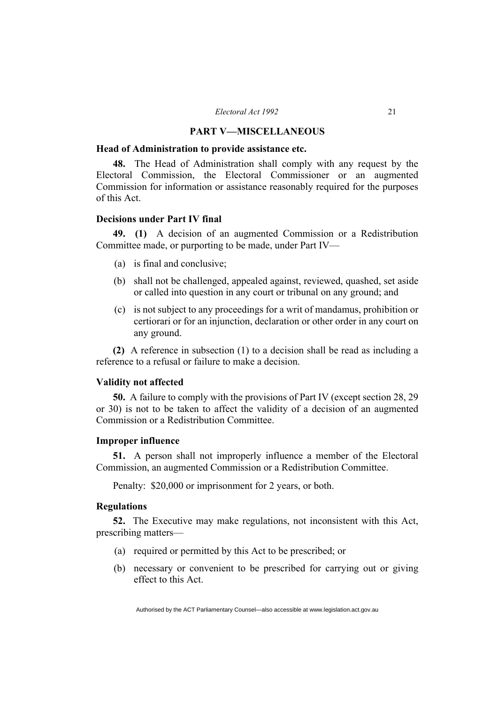#### **PART V—MISCELLANEOUS**

#### **Head of Administration to provide assistance etc.**

**48.** The Head of Administration shall comply with any request by the Electoral Commission, the Electoral Commissioner or an augmented Commission for information or assistance reasonably required for the purposes of this Act.

## **Decisions under Part IV final**

**49. (1)** A decision of an augmented Commission or a Redistribution Committee made, or purporting to be made, under Part IV—

- (a) is final and conclusive;
- (b) shall not be challenged, appealed against, reviewed, quashed, set aside or called into question in any court or tribunal on any ground; and
- (c) is not subject to any proceedings for a writ of mandamus, prohibition or certiorari or for an injunction, declaration or other order in any court on any ground.

**(2)** A reference in subsection (1) to a decision shall be read as including a reference to a refusal or failure to make a decision.

#### **Validity not affected**

**50.** A failure to comply with the provisions of Part IV (except section 28, 29 or 30) is not to be taken to affect the validity of a decision of an augmented Commission or a Redistribution Committee.

#### **Improper influence**

**51.** A person shall not improperly influence a member of the Electoral Commission, an augmented Commission or a Redistribution Committee.

Penalty: \$20,000 or imprisonment for 2 years, or both.

## **Regulations**

**52.** The Executive may make regulations, not inconsistent with this Act, prescribing matters—

- (a) required or permitted by this Act to be prescribed; or
- (b) necessary or convenient to be prescribed for carrying out or giving effect to this Act.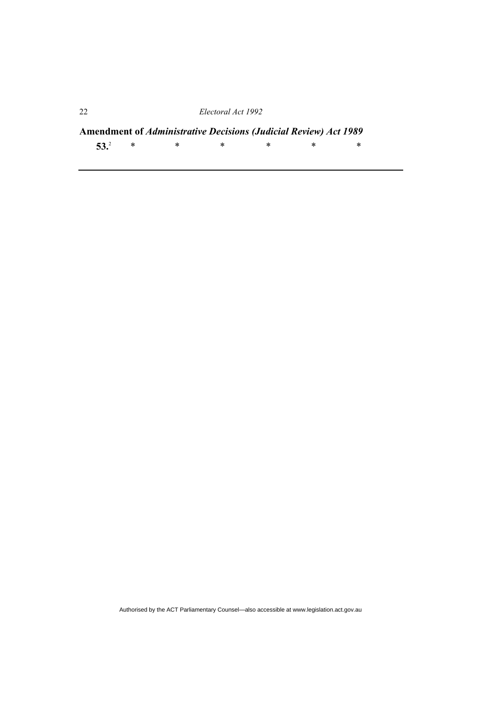**Amendment of** *Administrative Decisions (Judicial Review) Act 1989* **53.**<sup>2</sup> \* \* \* \* \* \*